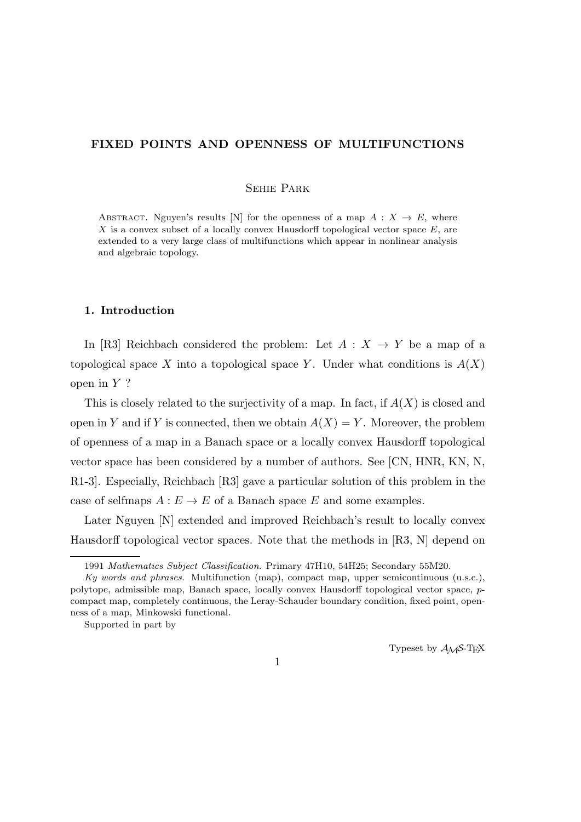## **FIXED POINTS AND OPENNESS OF MULTIFUNCTIONS**

#### Sehie Park

ABSTRACT. Nguyen's results [N] for the openness of a map  $A: X \to E$ , where *X* is a convex subset of a locally convex Hausdorff topological vector space *E*, are extended to a very large class of multifunctions which appear in nonlinear analysis and algebraic topology.

### **1. Introduction**

In [R3] Reichbach considered the problem: Let  $A: X \rightarrow Y$  be a map of a topological space X into a topological space Y. Under what conditions is  $A(X)$ open in *Y* ?

This is closely related to the surjectivity of a map. In fact, if *A*(*X*) is closed and open in *Y* and if *Y* is connected, then we obtain  $A(X) = Y$ . Moreover, the problem of openness of a map in a Banach space or a locally convex Hausdorff topological vector space has been considered by a number of authors. See [CN, HNR, KN, N, R1-3]. Especially, Reichbach [R3] gave a particular solution of this problem in the case of selfmaps  $A: E \to E$  of a Banach space *E* and some examples.

Later Nguyen [N] extended and improved Reichbach's result to locally convex Hausdorff topological vector spaces. Note that the methods in [R3, N] depend on

Supported in part by

Typeset by  $A_{\mathcal{M}}S$ -T<sub>E</sub>X

<sup>1991</sup> *Mathematics Subject Classification*. Primary 47H10, 54H25; Secondary 55M20.

*Ky words and phrases*. Multifunction (map), compact map, upper semicontinuous (u.s.c.), polytope, admissible map, Banach space, locally convex Hausdorff topological vector space, *p*compact map, completely continuous, the Leray-Schauder boundary condition, fixed point, openness of a map, Minkowski functional.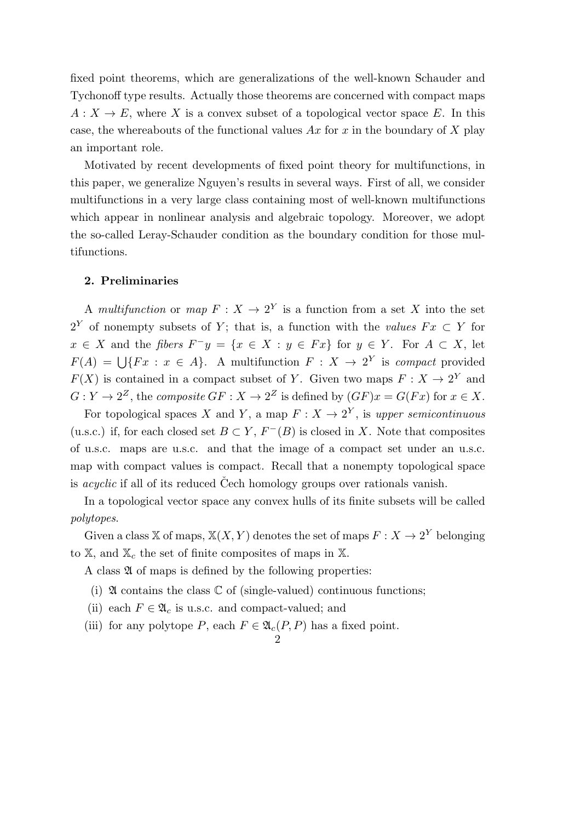fixed point theorems, which are generalizations of the well-known Schauder and Tychonoff type results. Actually those theorems are concerned with compact maps  $A: X \to E$ , where *X* is a convex subset of a topological vector space *E*. In this case, the whereabouts of the functional values *Ax* for *x* in the boundary of *X* play an important role.

Motivated by recent developments of fixed point theory for multifunctions, in this paper, we generalize Nguyen's results in several ways. First of all, we consider multifunctions in a very large class containing most of well-known multifunctions which appear in nonlinear analysis and algebraic topology. Moreover, we adopt the so-called Leray-Schauder condition as the boundary condition for those multifunctions.

#### **2. Preliminaries**

A *multifunction* or *map*  $F: X \to 2^Y$  is a function from a set X into the set 2<sup>*Y*</sup> of nonempty subsets of *Y*; that is, a function with the *values*  $Fx \subset Y$  for  $x \in X$  and the *fibers*  $F^{-}y = \{x \in X : y \in Fx\}$  for  $y \in Y$ . For  $A \subset X$ , let  $F(A) = \bigcup \{Fx : x \in A\}$ . A multifunction  $F: X \to 2^Y$  is *compact* provided  $F(X)$  is contained in a compact subset of *Y*. Given two maps  $F: X \to 2^Y$  and  $G: Y \to 2^Z$ , the *composite*  $GF: X \to 2^Z$  is defined by  $(GF)x = G(Fx)$  for  $x \in X$ .

For topological spaces *X* and *Y*, a map  $F: X \to 2<sup>Y</sup>$ , is upper semicontinuous (u.s.c.) if, for each closed set  $B \subset Y$ ,  $F^{-}(B)$  is closed in *X*. Note that composites of u.s.c. maps are u.s.c. and that the image of a compact set under an u.s.c. map with compact values is compact. Recall that a nonempty topological space is *acyclic* if all of its reduced Cech homology groups over rationals vanish.

In a topological vector space any convex hulls of its finite subsets will be called *polytopes*.

Given a class  $X$  of maps,  $X(X, Y)$  denotes the set of maps  $F: X \to 2^Y$  belonging to X, and X*<sup>c</sup>* the set of finite composites of maps in X.

A class  $\mathfrak A$  of maps is defined by the following properties:

- (i)  $\mathfrak A$  contains the class  $\mathbb C$  of (single-valued) continuous functions;
- (ii) each  $F \in \mathfrak{A}_c$  is u.s.c. and compact-valued; and
- (iii) for any polytope *P*, each  $F \in \mathfrak{A}_c(P, P)$  has a fixed point.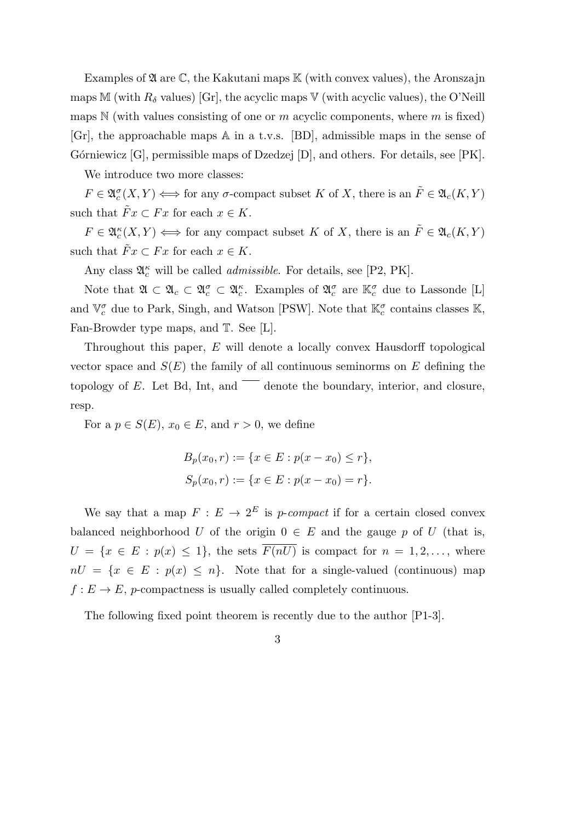Examples of  $\mathfrak A$  are  $\mathbb C$ , the Kakutani maps  $\mathbb K$  (with convex values), the Aronszajn maps M (with  $R_\delta$  values) [Gr], the acyclic maps V (with acyclic values), the O'Neill maps N (with values consisting of one or *m* acyclic components, where *m* is fixed) [Gr], the approachable maps A in a t.v.s. [BD], admissible maps in the sense of Górniewicz  $[G]$ , permissible maps of Dzedzej  $[D]$ , and others. For details, see  $[PK]$ .

We introduce two more classes:

 $F \in \mathfrak{A}_c^{\sigma}(X, Y) \Longleftrightarrow$  for any *σ*-compact subset *K* of *X*, there is an  $\tilde{F} \in \mathfrak{A}_c(K, Y)$ such that  $\tilde{F}x \subset Fx$  for each  $x \in K$ .

 $F \in \mathfrak{A}_c^{\kappa}(X, Y) \Longleftrightarrow$  for any compact subset *K* of *X*, there is an  $\tilde{F} \in \mathfrak{A}_c(K, Y)$ such that  $\tilde{F}x \subset Fx$  for each  $x \in K$ .

Any class  $\mathfrak{A}_{c}^{\kappa}$  will be called *admissible*. For details, see [P2, PK].

Note that  $\mathfrak{A} \subset \mathfrak{A}_c \subset \mathfrak{A}_c^{\sigma} \subset \mathfrak{A}_c^{\kappa}$ . Examples of  $\mathfrak{A}_c^{\sigma}$  are  $\mathbb{K}_c^{\sigma}$  due to Lassonde [L] and  $\mathbb{V}_c^{\sigma}$  due to Park, Singh, and Watson [PSW]. Note that  $\mathbb{K}_c^{\sigma}$  contains classes  $\mathbb{K}$ , Fan-Browder type maps, and  $\mathbb{T}$ . See [L].

Throughout this paper, *E* will denote a locally convex Hausdorff topological vector space and  $S(E)$  the family of all continuous seminorms on  $E$  defining the topology of  $E$ . Let Bd, Int, and  $\overline{\phantom{0}}$  denote the boundary, interior, and closure, resp.

For a  $p \in S(E)$ ,  $x_0 \in E$ , and  $r > 0$ , we define

$$
B_p(x_0, r) := \{x \in E : p(x - x_0) \le r\},\
$$
  

$$
S_p(x_0, r) := \{x \in E : p(x - x_0) = r\}.
$$

We say that a map  $F: E \to 2^E$  is *p*-compact if for a certain closed convex balanced neighborhood *U* of the origin  $0 \in E$  and the gauge *p* of *U* (that is,  $U = \{x \in E : p(x) \leq 1\}$ , the sets  $\overline{F(nU)}$  is compact for  $n = 1, 2, \ldots$ , where  $nU = \{x \in E : p(x) \leq n\}$ . Note that for a single-valued (continuous) map  $f: E \to E$ , *p*-compactness is usually called completely continuous.

The following fixed point theorem is recently due to the author [P1-3].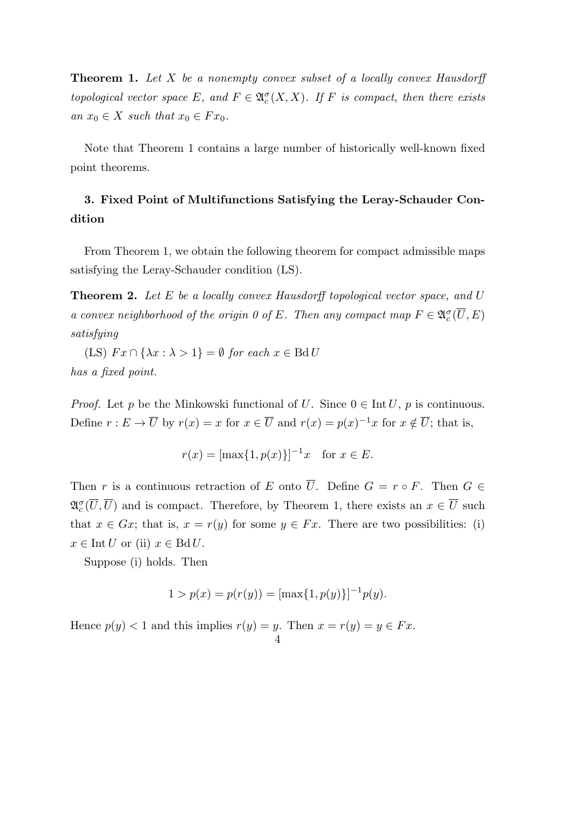**Theorem 1.** *Let X be a nonempty convex subset of a locally convex Hausdorff topological vector space*  $E$ *, and*  $F \in \mathfrak{A}_c^{\sigma}(X,X)$ *. If*  $F$  *is compact, then there exists*  $an x_0 \in X$  *such that*  $x_0 \in F x_0$ .

Note that Theorem 1 contains a large number of historically well-known fixed point theorems.

# **3. Fixed Point of Multifunctions Satisfying the Leray-Schauder Condition**

From Theorem 1, we obtain the following theorem for compact admissible maps satisfying the Leray-Schauder condition (LS).

**Theorem 2.** *Let E be a locally convex Hausdorff topological vector space, and U a convex neighborhood of the origin 0 of <i>E.* Then any compact map  $F \in \mathfrak{A}_c^{\sigma}(\overline{U}, E)$ *satisfying*

 $(LS)$   $Fx \cap {\lambda x : \lambda > 1} = \emptyset$  *for each*  $x \in \text{Bd} U$ *has a fixed point.*

*Proof.* Let *p* be the Minkowski functional of *U*. Since  $0 \in \text{Int } U$ , *p* is continuous. Define  $r : E \to \overline{U}$  by  $r(x) = x$  for  $x \in \overline{U}$  and  $r(x) = p(x)^{-1}x$  for  $x \notin \overline{U}$ ; that is,

$$
r(x) = [\max\{1, p(x)\}]^{-1}x
$$
 for  $x \in E$ .

Then *r* is a continuous retraction of *E* onto  $\overline{U}$ . Define  $G = r \circ F$ . Then  $G \in$  $\mathfrak{A}_{c}^{\sigma}(\overline{U}, \overline{U})$  and is compact. Therefore, by Theorem 1, there exists an  $x \in \overline{U}$  such that  $x \in Gx$ ; that is,  $x = r(y)$  for some  $y \in Fx$ . There are two possibilities: (i)  $x \in \text{Int } U$  or (ii)  $x \in \text{Bd } U$ .

Suppose (i) holds. Then

$$
1 > p(x) = p(r(y)) = [\max\{1, p(y)\}]^{-1} p(y).
$$

Hence  $p(y) < 1$  and this implies  $r(y) = y$ . Then  $x = r(y) = y \in Fx$ . 4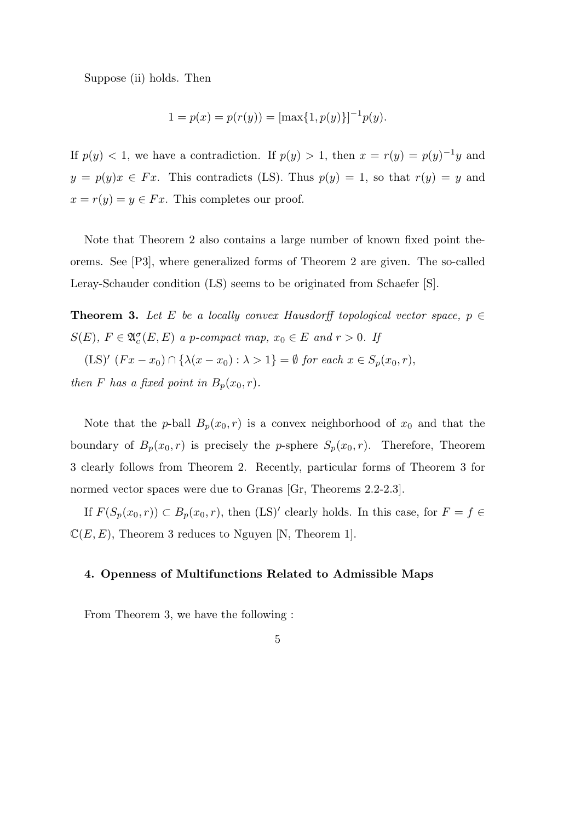Suppose (ii) holds. Then

$$
1 = p(x) = p(r(y)) = [\max\{1, p(y)\}]^{-1} p(y).
$$

If  $p(y) < 1$ , we have a contradiction. If  $p(y) > 1$ , then  $x = r(y) = p(y)^{-1}y$  and  $y = p(y)x \in F_x$ . This contradicts (LS). Thus  $p(y) = 1$ , so that  $r(y) = y$  and  $x = r(y) = y \in Fx$ . This completes our proof.

Note that Theorem 2 also contains a large number of known fixed point theorems. See [P3], where generalized forms of Theorem 2 are given. The so-called Leray-Schauder condition (LS) seems to be originated from Schaefer [S].

**Theorem 3.** Let *E* be a locally convex Hausdorff topological vector space,  $p \in$ *S*(*E*)*, F*  $\in \mathfrak{A}_{c}^{\sigma}(E, E)$  *a p-compact map,*  $x_0 \in E$  *and*  $r > 0$ *. If* 

 $(LS)'$   $(Fx - x_0) \cap {\lambda(x - x_0) : \lambda > 1} = \emptyset$  *for each*  $x \in S_p(x_0, r)$ ,

*then F has a fixed point in*  $B_p(x_0, r)$ *.* 

Note that the *p*-ball  $B_p(x_0, r)$  is a convex neighborhood of  $x_0$  and that the boundary of  $B_p(x_0, r)$  is precisely the *p*-sphere  $S_p(x_0, r)$ . Therefore, Theorem 3 clearly follows from Theorem 2. Recently, particular forms of Theorem 3 for normed vector spaces were due to Granas [Gr, Theorems 2.2-2.3].

If  $F(S_p(x_0, r)) \subset B_p(x_0, r)$ , then  $(LS)'$  clearly holds. In this case, for  $F = f \in$  $\mathbb{C}(E, E)$ , Theorem 3 reduces to Nguyen [N, Theorem 1].

#### **4. Openness of Multifunctions Related to Admissible Maps**

From Theorem 3, we have the following :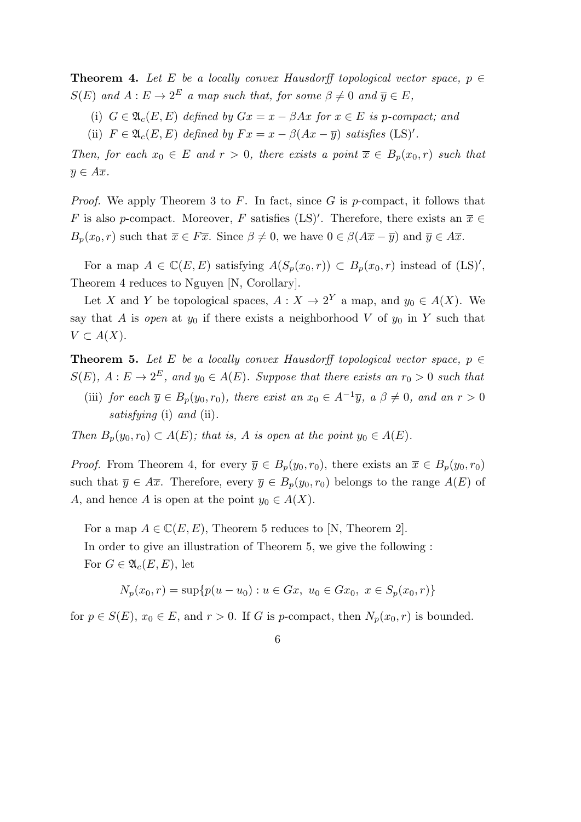**Theorem 4.** Let E be a locally convex Hausdorff topological vector space,  $p \in$  $S(E)$  and  $A: E \to 2^E$  a map such that, for some  $\beta \neq 0$  and  $\overline{y} \in E$ ,

- (i)  $G \in \mathfrak{A}_c(E, E)$  defined by  $Gx = x \beta Ax$  for  $x \in E$  is p-compact; and
- (ii)  $F \in \mathfrak{A}_c(E, E)$  *defined by*  $Fx = x \beta(Ax \overline{y})$  *satisfies* (LS)'.

*Then, for each*  $x_0 \in E$  *and*  $r > 0$ *, there exists a point*  $\overline{x} \in B_p(x_0, r)$  *such that y* ∈ *A* $\overline{x}$ *.* 

*Proof.* We apply Theorem 3 to *F*. In fact, since *G* is *p*-compact, it follows that *F* is also *p*-compact. Moreover, *F* satisfies (LS)<sup>'</sup>. Therefore, there exists an  $\overline{x} \in$ *B*<sub>*p*</sub>(*x*<sub>0</sub>*, r*) such that  $\overline{x} \in F\overline{x}$ . Since  $\beta \neq 0$ , we have  $0 \in \beta(A\overline{x} - \overline{y})$  and  $\overline{y} \in A\overline{x}$ .

For a map  $A \in \mathbb{C}(E, E)$  satisfying  $A(S_p(x_0, r)) \subset B_p(x_0, r)$  instead of  $(LS)'$ , Theorem 4 reduces to Nguyen [N, Corollary].

Let *X* and *Y* be topological spaces,  $A: X \to 2^Y$  a map, and  $y_0 \in A(X)$ . We say that *A* is *open* at  $y_0$  if there exists a neighborhood *V* of  $y_0$  in *Y* such that  $V$  ⊂  $A(X)$ .

**Theorem 5.** Let *E* be a locally convex Hausdorff topological vector space,  $p \in$  $S(E)$ ,  $A: E \to 2^E$ , and  $y_0 \in A(E)$ *. Suppose that there exists an*  $r_0 > 0$  *such that* 

(iii) *for each*  $\overline{y} \in B_p(y_0, r_0)$ *, there exist an*  $x_0 \in A^{-1}\overline{y}$ *, a*  $\beta \neq 0$ *, and an*  $r > 0$ *satisfying* (i) *and* (ii)*.*

*Then*  $B_p(y_0, r_0) \subset A(E)$ ; that is, *A* is open at the point  $y_0 \in A(E)$ .

*Proof.* From Theorem 4, for every  $\overline{y} \in B_p(y_0, r_0)$ , there exists an  $\overline{x} \in B_p(y_0, r_0)$ such that  $\overline{y} \in A\overline{x}$ . Therefore, every  $\overline{y} \in B_p(y_0, r_0)$  belongs to the range  $A(E)$  of *A*, and hence *A* is open at the point  $y_0 \in A(X)$ .

For a map  $A \in \mathbb{C}(E, E)$ , Theorem 5 reduces to [N, Theorem 2]. In order to give an illustration of Theorem 5, we give the following : For  $G \in \mathfrak{A}_{c}(E, E)$ , let

$$
N_p(x_0, r) = \sup\{p(u - u_0) : u \in Gx, u_0 \in Gx_0, x \in S_p(x_0, r)\}\
$$

for  $p \in S(E)$ ,  $x_0 \in E$ , and  $r > 0$ . If *G* is *p*-compact, then  $N_p(x_0, r)$  is bounded.

6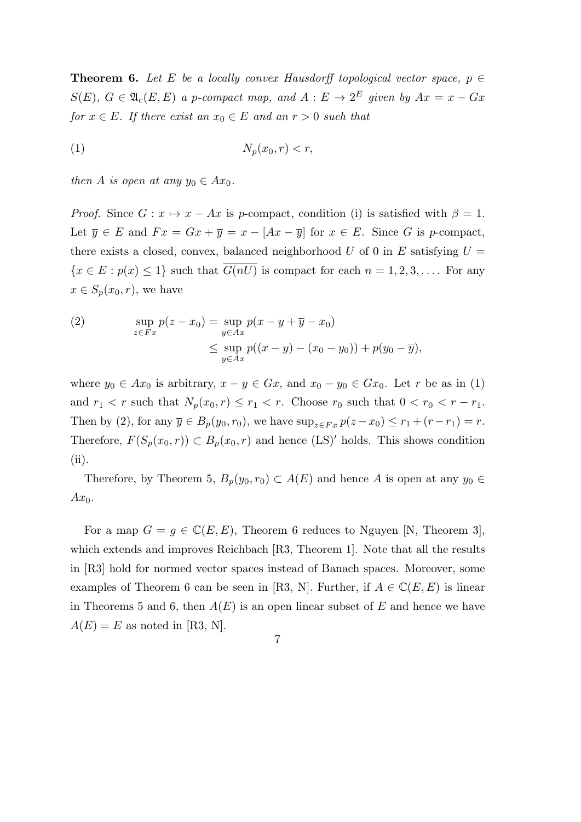**Theorem 6.** *Let E be a locally convex Hausdorff topological vector space,*  $p \in$  $S(E)$ ,  $G \in \mathfrak{A}_{c}(E, E)$  *a p*-compact map, and  $A : E \to 2^{E}$  given by  $Ax = x - Gx$ *for*  $x \in E$ *. If there exist an*  $x_0 \in E$  *and an*  $r > 0$  *such that* 

$$
(1) \t\t N_p(x_0, r) < r,
$$

*then A is open at any*  $y_0 \in Ax_0$ .

*Proof.* Since  $G: x \mapsto x - Ax$  is *p*-compact, condition (i) is satisfied with  $\beta = 1$ . Let  $\overline{y} \in E$  and  $Fx = Gx + \overline{y} = x - [Ax - \overline{y}]$  for  $x \in E$ . Since *G* is *p*-compact, there exists a closed, convex, balanced neighborhood  $U$  of 0 in  $E$  satisfying  $U =$  ${x \in E : p(x) \leq 1}$  such that *G*(*nU*) is compact for each  $n = 1, 2, 3, \ldots$ . For any  $x \in S_p(x_0, r)$ , we have

(2) 
$$
\sup_{z \in F_x} p(z - x_0) = \sup_{y \in Ax} p(x - y + \overline{y} - x_0)
$$

$$
\leq \sup_{y \in Ax} p((x - y) - (x_0 - y_0)) + p(y_0 - \overline{y}),
$$

where  $y_0 \in Ax_0$  is arbitrary,  $x - y \in Gx$ , and  $x_0 - y_0 \in Gx_0$ . Let *r* be as in (1) and  $r_1 < r$  such that  $N_p(x_0, r) \le r_1 < r$ . Choose  $r_0$  such that  $0 < r_0 < r - r_1$ . Then by (2), for any  $\overline{y} \in B_p(y_0, r_0)$ , we have  $\sup_{z \in F_x} p(z - x_0) \le r_1 + (r - r_1) = r$ . Therefore,  $F(S_p(x_0, r)) \subset B_p(x_0, r)$  and hence  $(LS)'$  holds. This shows condition (ii).

Therefore, by Theorem 5,  $B_p(y_0, r_0) \subset A(E)$  and hence *A* is open at any  $y_0 \in$  $Ax_0$ .

For a map  $G = g \in \mathbb{C}(E, E)$ , Theorem 6 reduces to Nguyen [N, Theorem 3], which extends and improves Reichbach [R3, Theorem 1]. Note that all the results in [R3] hold for normed vector spaces instead of Banach spaces. Moreover, some examples of Theorem 6 can be seen in [R3, N]. Further, if  $A \in \mathbb{C}(E, E)$  is linear in Theorems 5 and 6, then  $A(E)$  is an open linear subset of E and hence we have  $A(E) = E$  as noted in [R3, N].